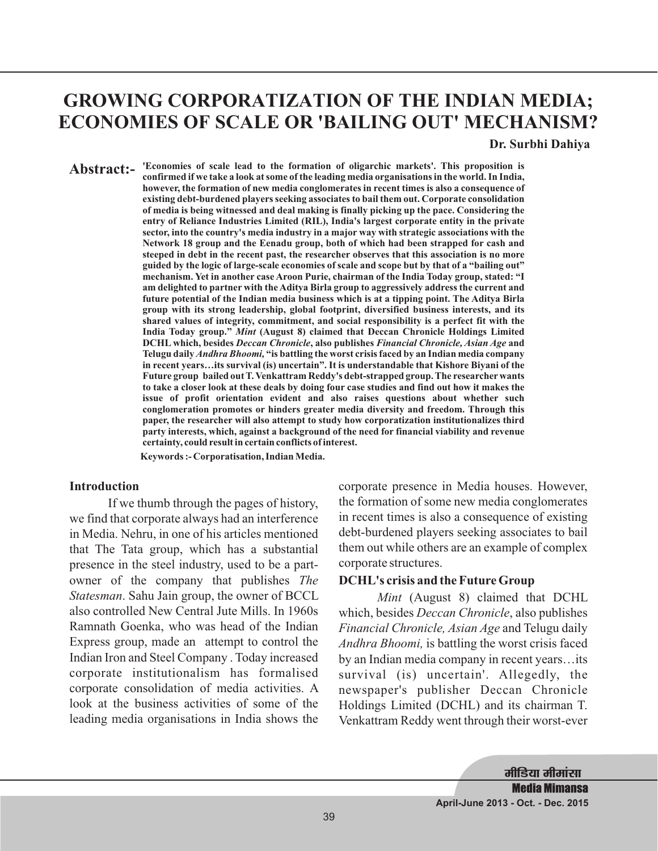# **GROWING CORPORATIZATION OF THE INDIAN MEDIA; ECONOMIES OF SCALE OR 'BAILING OUT' MECHANISM?**

#### **Dr. Surbhi Dahiya**

**'Economies of scale lead to the formation of oligarchic markets'. This proposition is Abstract: confirmed if we take a look at some of the leading media organisations in the world. In India, however, the formation of new media conglomerates in recent times is also a consequence of existing debt-burdened players seeking associates to bail them out. Corporate consolidation of media is being witnessed and deal making is finally picking up the pace. Considering the entry of Reliance Industries Limited (RIL), India's largest corporate entity in the private sector, into the country's media industry in a major way with strategic associations with the Network 18 group and the Eenadu group, both of which had been strapped for cash and steeped in debt in the recent past, the researcher observes that this association is no more guided by the logic of large-scale economies of scale and scope but by that of a "bailing out" mechanism. Yet in another case Aroon Purie, chairman of the India Today group, stated: "I am delighted to partner with the Aditya Birla group to aggressively address the current and future potential of the Indian media business which is at a tipping point. The Aditya Birla group with its strong leadership, global footprint, diversified business interests, and its shared values of integrity, commitment, and social responsibility is a perfect fit with the** India Today group." Mint (August 8) claimed that Deccan Chronicle Holdings Limited **DCHL which, besides Deccan Chronicle, also publishes Financial Chronicle, Asian Age and** Telugu daily *Andhra Bhoomi,* "is battling the worst crisis faced by an Indian media company **in recent years…its survival (is) uncertain". It is understandable that Kishore Biyani of the Future group bailed out T. Venkattram Reddy's debt-strapped group. The researcher wants to take a closer look at these deals by doing four case studies and find out how it makes the issue of profit orientation evident and also raises questions about whether such conglomeration promotes or hinders greater media diversity and freedom. Through this paper, the researcher will also attempt to study how corporatization institutionalizes third party interests, which, against a background of the need for financial viability and revenue certainty, could result in certain conflicts of interest.**

**Keywords :- Corporatisation, Indian Media.**

#### **Introduction**

If we thumb through the pages of history, we find that corporate always had an interference in Media. Nehru, in one of his articles mentioned that The Tata group, which has a substantial presence in the steel industry, used to be a partowner of the company that publishes *The* Statesman. Sahu Jain group, the owner of BCCL Mint also controlled New Central Jute Mills. In 1960s Ramnath Goenka, who was head of the Indian Express group, made an attempt to control the Indian Iron and Steel Company . Today increased corporate institutionalism has formalised corporate consolidation of media activities. A look at the business activities of some of the leading media organisations in India shows the

corporate presence in Media houses. However, the formation of some new media conglomerates in recent times is also a consequence of existing debt-burdened players seeking associates to bail them out while others are an example of complex corporate structures.

#### **DCHL's crisis and the Future Group**

Mint (August 8) claimed that DCHL which, besides *Deccan Chronicle*, also publishes Financial Chronicle, Asian Age and Telugu daily Andhra Bhoomi, is battling the worst crisis faced by an Indian media company in recent years…its survival (is) uncertain'. Allegedly, the newspaper's publisher Deccan Chronicle Holdings Limited (DCHL) and its chairman T. Venkattram Reddy went through their worst-ever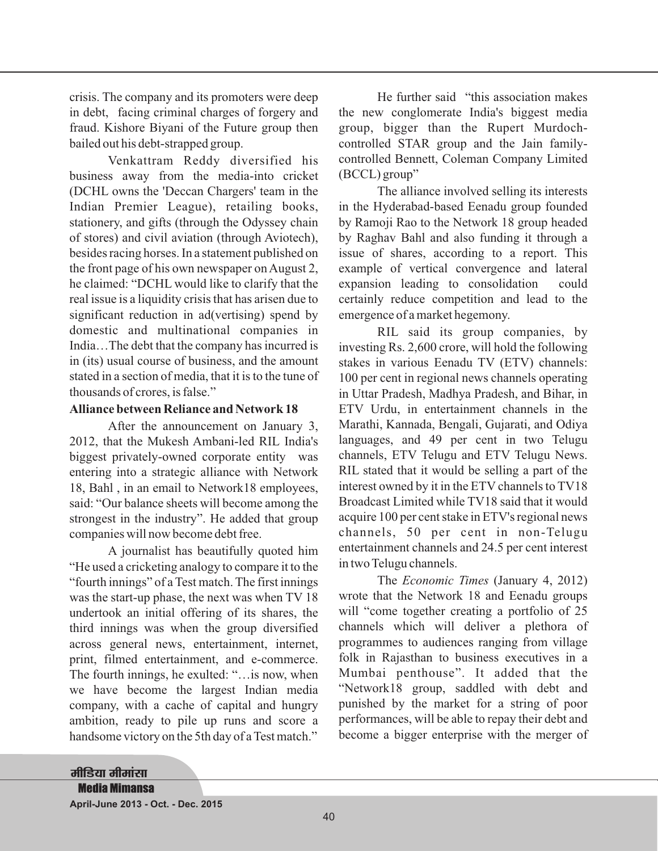crisis. The company and its promoters were deep in debt, facing criminal charges of forgery and fraud. Kishore Biyani of the Future group then bailed out his debt-strapped group.

Venkattram Reddy diversified his business away from the media-into cricket (DCHL owns the 'Deccan Chargers' team in the Indian Premier League), retailing books, stationery, and gifts (through the Odyssey chain of stores) and civil aviation (through Aviotech), besides racing horses. In a statement published on the front page of his own newspaper on August 2, he claimed: "DCHL would like to clarify that the real issue is a liquidity crisis that has arisen due to significant reduction in ad(vertising) spend by domestic and multinational companies in India…The debt that the company has incurred is in (its) usual course of business, and the amount stated in a section of media, that it is to the tune of thousands of crores, is false."

#### **Alliance between Reliance and Network 18**

After the announcement on January 3, 2012, that the Mukesh Ambani-led RIL India's biggest privately-owned corporate entity was entering into a strategic alliance with Network 18, Bahl , in an email to Network18 employees, said: "Our balance sheets will become among the strongest in the industry". He added that group companies will now become debt free.

A journalist has beautifully quoted him "He used a cricketing analogy to compare it to the "fourth innings" of a Test match. The first innings was the start-up phase, the next was when TV 18 undertook an initial offering of its shares, the third innings was when the group diversified across general news, entertainment, internet, print, filmed entertainment, and e-commerce. The fourth innings, he exulted: "…is now, when we have become the largest Indian media company, with a cache of capital and hungry ambition, ready to pile up runs and score a handsome victory on the 5th day of a Test match."

He further said "this association makes the new conglomerate India's biggest media group, bigger than the Rupert Murdochcontrolled STAR group and the Jain familycontrolled Bennett, Coleman Company Limited (BCCL) group"

The alliance involved selling its interests in the Hyderabad-based Eenadu group founded by Ramoji Rao to the Network 18 group headed by Raghav Bahl and also funding it through a issue of shares, according to a report. This example of vertical convergence and lateral expansion leading to consolidation could certainly reduce competition and lead to the emergence of a market hegemony.

RIL said its group companies, by investing Rs. 2,600 crore, will hold the following stakes in various Eenadu TV (ETV) channels: 100 per cent in regional news channels operating in Uttar Pradesh, Madhya Pradesh, and Bihar, in ETV Urdu, in entertainment channels in the Marathi, Kannada, Bengali, Gujarati, and Odiya languages, and 49 per cent in two Telugu channels, ETV Telugu and ETV Telugu News. RIL stated that it would be selling a part of the interest owned by it in the ETV channels to TV18 Broadcast Limited while TV18 said that it would acquire 100 per cent stake in ETV's regional news channels, 50 per cent in non-Telugu entertainment channels and 24.5 per cent interest in two Telugu channels.

The *Economic Times* (January 4, 2012) wrote that the Network 18 and Eenadu groups will "come together creating a portfolio of 25 channels which will deliver a plethora of programmes to audiences ranging from village folk in Rajasthan to business executives in a Mumbai penthouse". It added that the "Network18 group, saddled with debt and punished by the market for a string of poor performances, will be able to repay their debt and become a bigger enterprise with the merger of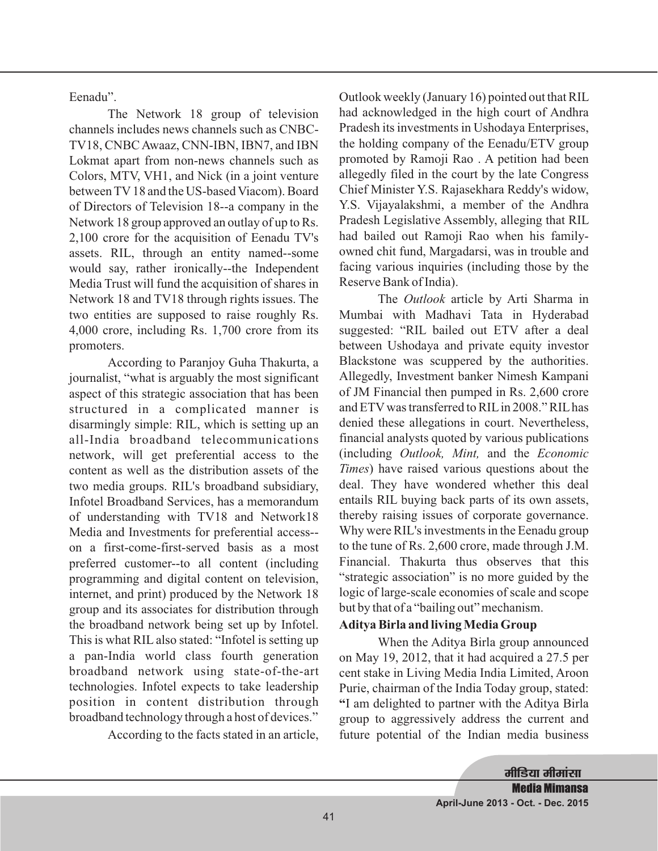Eenadu".

The Network 18 group of television channels includes news channels such as CNBC-TV18, CNBC Awaaz, CNN-IBN, IBN7, and IBN Lokmat apart from non-news channels such as Colors, MTV, VH1, and Nick (in a joint venture between TV 18 and the US-based Viacom). Board of Directors of Television 18--a company in the Network 18 group approved an outlay of up to Rs. 2,100 crore for the acquisition of Eenadu TV's assets. RIL, through an entity named--some would say, rather ironically--the Independent Media Trust will fund the acquisition of shares in Network 18 and TV18 through rights issues. The two entities are supposed to raise roughly Rs. 4,000 crore, including Rs. 1,700 crore from its promoters.

According to Paranjoy Guha Thakurta, a journalist, "what is arguably the most significant aspect of this strategic association that has been structured in a complicated manner is disarmingly simple: RIL, which is setting up an all-India broadband telecommunications network, will get preferential access to the content as well as the distribution assets of the two media groups. RIL's broadband subsidiary, Infotel Broadband Services, has a memorandum of understanding with TV18 and Network18 Media and Investments for preferential access- on a first-come-first-served basis as a most preferred customer--to all content (including programming and digital content on television, internet, and print) produced by the Network 18 group and its associates for distribution through the broadband network being set up by Infotel. This is what RIL also stated: "Infotel is setting up a pan-India world class fourth generation broadband network using state-of-the-art technologies. Infotel expects to take leadership position in content distribution through broadband technology through a host of devices."

According to the facts stated in an article,

Outlook weekly (January 16) pointed out that RIL had acknowledged in the high court of Andhra Pradesh its investments in Ushodaya Enterprises, the holding company of the Eenadu/ETV group promoted by Ramoji Rao . A petition had been allegedly filed in the court by the late Congress Chief Minister Y.S. Rajasekhara Reddy's widow, Y.S. Vijayalakshmi, a member of the Andhra Pradesh Legislative Assembly, alleging that RIL had bailed out Ramoji Rao when his familyowned chit fund, Margadarsi, was in trouble and facing various inquiries (including those by the Reserve Bank of India).

The Outlook article by Arti Sharma in Mumbai with Madhavi Tata in Hyderabad suggested: "RIL bailed out ETV after a deal between Ushodaya and private equity investor Blackstone was scuppered by the authorities. Allegedly, Investment banker Nimesh Kampani of JM Financial then pumped in Rs. 2,600 crore and ETV was transferred to RILin 2008."RILhas denied these allegations in court. Nevertheless, financial analysts quoted by various publications (including Outlook, Mint, and the Economic ) have raised various questions about the *Times* deal. They have wondered whether this deal entails RIL buying back parts of its own assets, thereby raising issues of corporate governance. Why were RIL's investments in the Eenadu group to the tune of Rs. 2,600 crore, made through J.M. Financial. Thakurta thus observes that this "strategic association" is no more guided by the logic of large-scale economies of scale and scope but by that of a "bailing out"mechanism.

## **Aditya Birla and living Media Group**

When the Aditya Birla group announced on May 19, 2012, that it had acquired a 27.5 per cent stake in Living Media India Limited, Aroon Purie, chairman of the India Today group, stated: I am delighted to partner with the Aditya Birla **"** group to aggressively address the current and future potential of the Indian media business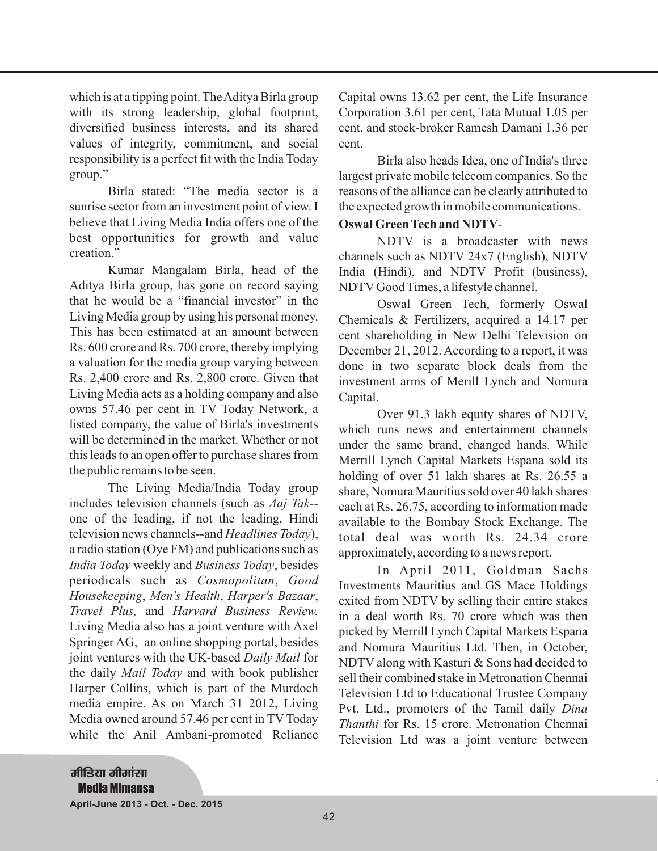which is at a tipping point. The Aditya Birla group with its strong leadership, global footprint, diversified business interests, and its shared values of integrity, commitment, and social responsibility is a perfect fit with the India Today group."

Birla stated: "The media sector is a sunrise sector from an investment point of view. I believe that Living Media India offers one of the best opportunities for growth and value creation."

Kumar Mangalam Birla, head of the Aditya Birla group, has gone on record saying that he would be a "financial investor" in the Living Media group by using his personal money. This has been estimated at an amount between Rs. 600 crore and Rs. 700 crore, thereby implying a valuation for the media group varying between Rs. 2,400 crore and Rs. 2,800 crore. Given that Living Media acts as a holding company and also owns 57.46 per cent in TV Today Network, a listed company, the value of Birla's investments will be determined in the market. Whether or not this leads to an open offer to purchase shares from the public remains to be seen.

The Living Media/India Today group includes television channels (such as *Aaj Tak-* one of the leading, if not the leading, Hindi television news channels--and *Headlines Today*), a radio station (Oye FM) and publications such as India Today weekly and Business Today, besides periodicals such as , *Cosmopolitan Good* , , , *Housekeeping Men's Health Harper's Bazaar* Travel Plus, and Harvard Business Review. Living Media also has a joint venture with Axel Springer AG, an online shopping portal, besides joint ventures with the UK-based *Daily Mail* for the daily *Mail Today* and with book publisher Harper Collins, which is part of the Murdoch media empire. As on March 31 2012, Living Media owned around 57.46 per cent in TV Today while the Anil Ambani-promoted Reliance Capital owns 13.62 per cent, the Life Insurance Corporation 3.61 per cent, Tata Mutual 1.05 per cent, and stock-broker Ramesh Damani 1.36 per cent.

Birla also heads Idea, one of India's three largest private mobile telecom companies. So the reasons of the alliance can be clearly attributed to the expected growth in mobile communications.

# - **Oswal Green Tech and NDTV**

NDTV is a broadcaster with news channels such as NDTV 24x7 (English), NDTV India (Hindi), and NDTV Profit (business), NDTV Good Times, a lifestyle channel.

Oswal Green Tech, formerly Oswal Chemicals & Fertilizers, acquired a 14.17 per cent shareholding in New Delhi Television on December 21, 2012. According to a report, it was done in two separate block deals from the investment arms of Merill Lynch and Nomura Capital.

Over 91.3 lakh equity shares of NDTV, which runs news and entertainment channels under the same brand, changed hands. While Merrill Lynch Capital Markets Espana sold its holding of over 51 lakh shares at Rs. 26.55 a share, Nomura Mauritius sold over 40 lakh shares each at Rs. 26.75, according to information made available to the Bombay Stock Exchange. The total deal was worth Rs. 24.34 crore approximately, according to a news report.

In April 2011, Goldman Sachs Investments Mauritius and GS Mace Holdings exited from NDTV by selling their entire stakes in a deal worth Rs. 70 crore which was then picked by Merrill Lynch Capital Markets Espana and Nomura Mauritius Ltd. Then, in October, NDTV along with Kasturi & Sons had decided to sell their combined stake in Metronation Chennai Television Ltd to Educational Trustee Company Pvt. Ltd., promoters of the Tamil daily *Dina Thanthi* for Rs. 15 crore. Metronation Chennai Television Ltd was a joint venture between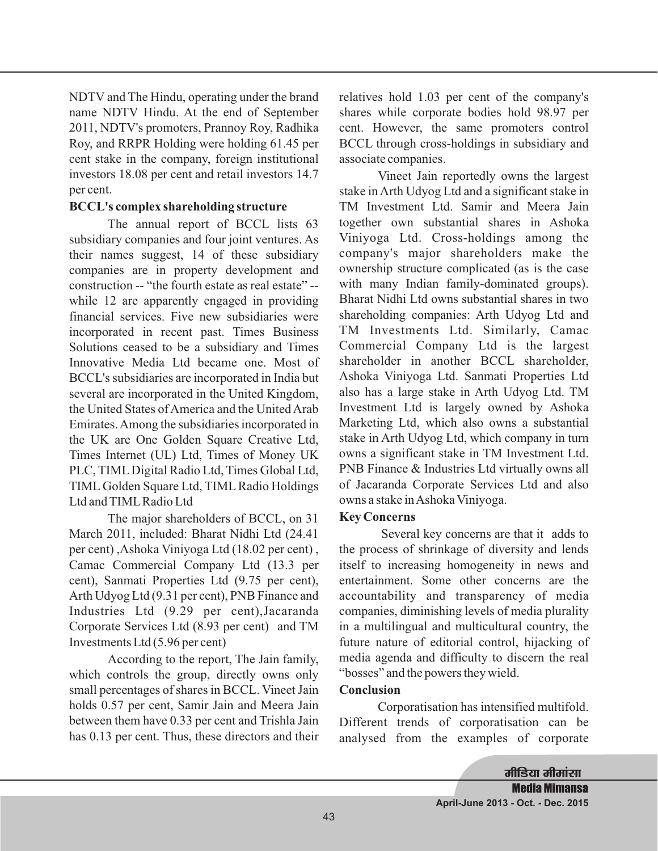NDTV and The Hindu, operating under the brand name NDTV Hindu. At the end of September 2011, NDTV's promoters, Prannoy Roy, Radhika Roy, and RRPR Holding were holding 61.45 per cent stake in the company, foreign institutional investors 18.08 per cent and retail investors 14.7 per cent.

## **BCCL's complex shareholding structure**

The annual report of BCCL lists 63 subsidiary companies and four joint ventures. As their names suggest, 14 of these subsidiary companies are in property development and construction -- "the fourth estate as real estate" - while 12 are apparently engaged in providing financial services. Five new subsidiaries were incorporated in recent past. Times Business Solutions ceased to be a subsidiary and Times Innovative Media Ltd became one. Most of BCCL's subsidiaries are incorporated in India but several are incorporated in the United Kingdom, the United States of America and the United Arab Emirates.Among the subsidiaries incorporated in the UK are One Golden Square Creative Ltd, Times Internet (UL) Ltd, Times of Money UK PLC, TIML Digital Radio Ltd, Times Global Ltd, TIML Golden Square Ltd, TIML Radio Holdings Ltd and TIMLRadio Ltd

The major shareholders of BCCL, on 31 March 2011, included: Bharat Nidhi Ltd (24.41 per cent) ,Ashoka Viniyoga Ltd (18.02 per cent) , Camac Commercial Company Ltd (13.3 per cent), Sanmati Properties Ltd (9.75 per cent), Arth Udyog Ltd (9.31 per cent), PNB Finance and Industries Ltd (9.29 per cent),Jacaranda Corporate Services Ltd (8.93 per cent) and TM Investments Ltd (5.96 per cent)

According to the report, The Jain family, which controls the group, directly owns only small percentages of shares in BCCL. Vineet Jain holds 0.57 per cent, Samir Jain and Meera Jain between them have 0.33 per cent and Trishla Jain has 0.13 per cent. Thus, these directors and their relatives hold 1.03 per cent of the company's shares while corporate bodies hold 98.97 per cent. However, the same promoters control BCCL through cross-holdings in subsidiary and associate companies.

Vineet Jain reportedly owns the largest stake in Arth Udyog Ltd and a significant stake in TM Investment Ltd. Samir and Meera Jain together own substantial shares in Ashoka Viniyoga Ltd. Cross-holdings among the company's major shareholders make the ownership structure complicated (as is the case with many Indian family-dominated groups). Bharat Nidhi Ltd owns substantial shares in two shareholding companies: Arth Udyog Ltd and TM Investments Ltd. Similarly, Camac Commercial Company Ltd is the largest shareholder in another BCCL shareholder, Ashoka Viniyoga Ltd. Sanmati Properties Ltd also has a large stake in Arth Udyog Ltd. TM Investment Ltd is largely owned by Ashoka Marketing Ltd, which also owns a substantial stake in Arth Udyog Ltd, which company in turn owns a significant stake in TM Investment Ltd. PNB Finance & Industries Ltd virtually owns all of Jacaranda Corporate Services Ltd and also owns a stake inAshoka Viniyoga.

## **Key Concerns**

Several key concerns are that it adds to the process of shrinkage of diversity and lends itself to increasing homogeneity in news and entertainment. Some other concerns are the accountability and transparency of media companies, diminishing levels of media plurality in a multilingual and multicultural country, the future nature of editorial control, hijacking of media agenda and difficulty to discern the real "bosses" and the powers they wield.

## **Conclusion**

Corporatisation has intensified multifold. Different trends of corporatisation can be analysed from the examples of corporate